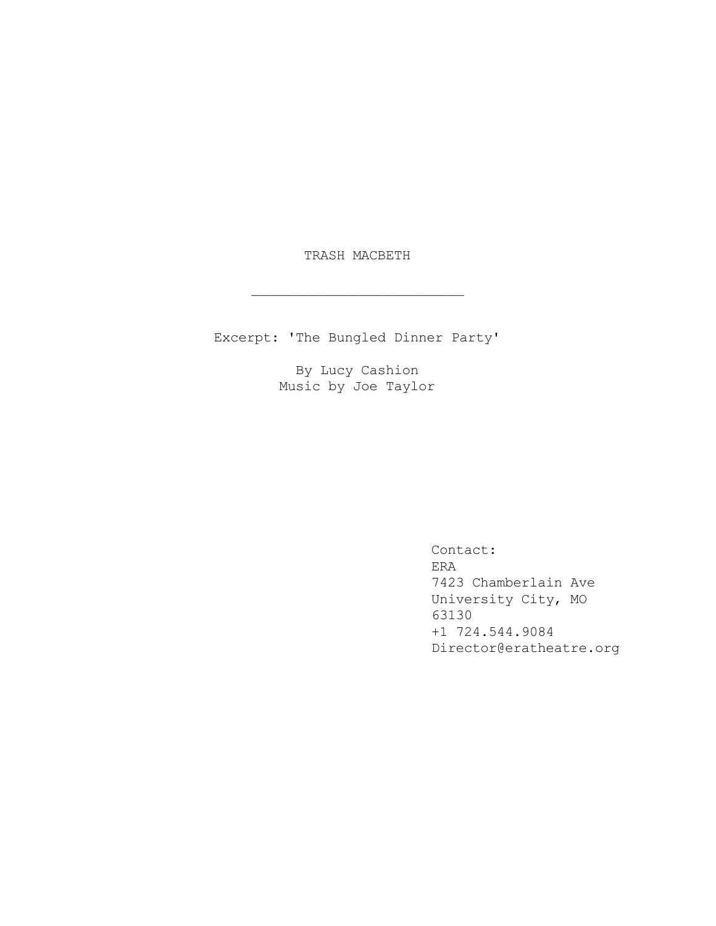TRASH MACBETH

 $\mathcal{L}=\mathcal{L}=\mathcal{L}=\mathcal{L}=\mathcal{L}=\mathcal{L}=\mathcal{L}=\mathcal{L}=\mathcal{L}=\mathcal{L}=\mathcal{L}=\mathcal{L}=\mathcal{L}=\mathcal{L}=\mathcal{L}=\mathcal{L}=\mathcal{L}=\mathcal{L}=\mathcal{L}=\mathcal{L}=\mathcal{L}=\mathcal{L}=\mathcal{L}=\mathcal{L}=\mathcal{L}=\mathcal{L}=\mathcal{L}=\mathcal{L}=\mathcal{L}=\mathcal{L}=\mathcal{L}=\mathcal{L}=\mathcal{L}=\mathcal{L}=\mathcal{L}=\mathcal{L}=\mathcal{$ 

Excerpt: 'The Bungled Dinner Party'

By Lucy Cashion Music by Joe Taylor

> Contact: ERA 7423 Chamberlain Ave University City, MO 63130 +1 724.544.9084 Director@eratheatre.org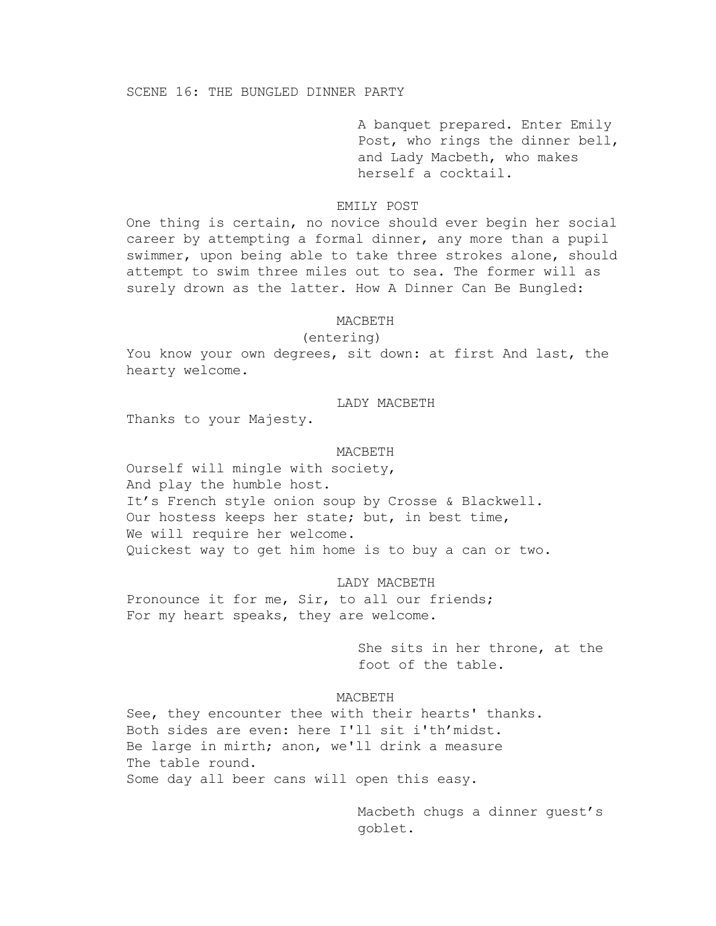A banquet prepared. Enter Emily Post, who rings the dinner bell, and Lady Macbeth, who makes herself a cocktail.

# EMILY POST

One thing is certain, no novice should ever begin her social career by attempting a formal dinner, any more than a pupil swimmer, upon being able to take three strokes alone, should attempt to swim three miles out to sea. The former will as surely drown as the latter. How A Dinner Can Be Bungled:

### MACBETH

(entering)

You know your own degrees, sit down: at first And last, the hearty welcome.

# LADY MACBETH

Thanks to your Majesty.

## MACBETH

Ourself will mingle with society, And play the humble host. It's French style onion soup by Crosse & Blackwell. Our hostess keeps her state; but, in best time, We will require her welcome. Quickest way to get him home is to buy a can or two.

LADY MACBETH Pronounce it for me, Sir, to all our friends; For my heart speaks, they are welcome.

> She sits in her throne, at the foot of the table.

#### MACBETH

See, they encounter thee with their hearts' thanks. Both sides are even: here I'll sit i'th'midst. Be large in mirth; anon, we'll drink a measure The table round. Some day all beer cans will open this easy.

> Macbeth chugs a dinner guest's goblet.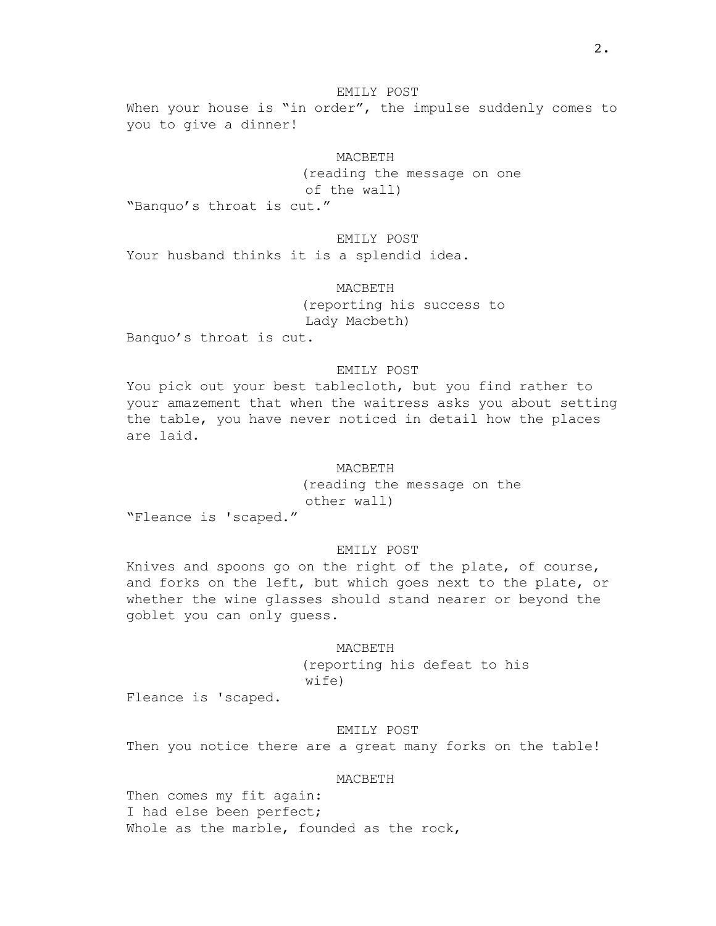# EMILY POST

When your house is "in order", the impulse suddenly comes to you to give a dinner!

# MACBETH

(reading the message on one of the wall)

"Banquo's throat is cut."

# EMILY POST

Your husband thinks it is a splendid idea.

MACBETH

(reporting his success to Lady Macbeth)

Banquo's throat is cut.

# EMILY POST

You pick out your best tablecloth, but you find rather to your amazement that when the waitress asks you about setting the table, you have never noticed in detail how the places are laid.

MACBETH

(reading the message on the other wall)

"Fleance is 'scaped."

## EMILY POST

Knives and spoons go on the right of the plate, of course, and forks on the left, but which goes next to the plate, or whether the wine glasses should stand nearer or beyond the goblet you can only guess.

#### MACBETH

(reporting his defeat to his wife)

Fleance is 'scaped.

# EMILY POST

Then you notice there are a great many forks on the table!

# MACBETH

Then comes my fit again: I had else been perfect; Whole as the marble, founded as the rock,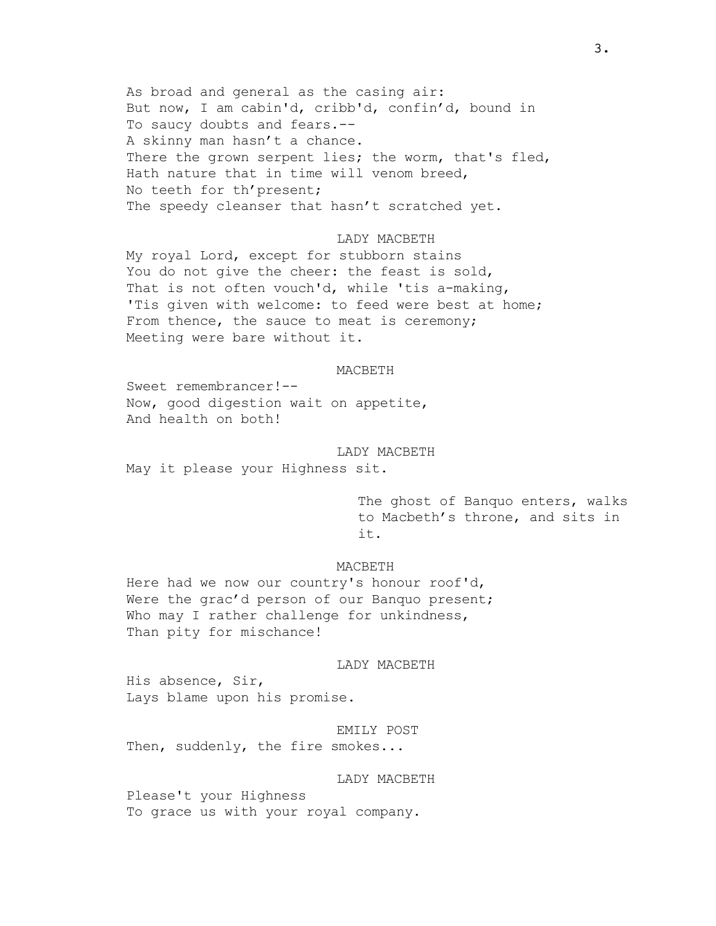As broad and general as the casing air: But now, I am cabin'd, cribb'd, confin'd, bound in To saucy doubts and fears.-- A skinny man hasn't a chance. There the grown serpent lies; the worm, that's fled, Hath nature that in time will venom breed, No teeth for th'present; The speedy cleanser that hasn't scratched yet.

# LADY MACBETH

My royal Lord, except for stubborn stains You do not give the cheer: the feast is sold, That is not often vouch'd, while 'tis a-making, 'Tis given with welcome: to feed were best at home; From thence, the sauce to meat is ceremony; Meeting were bare without it.

#### MACBETH

Sweet remembrancer!-- Now, good digestion wait on appetite, And health on both!

# LADY MACBETH

May it please your Highness sit.

The ghost of Banquo enters, walks to Macbeth's throne, and sits in it.

## MACBETH

Here had we now our country's honour roof'd, Were the grac'd person of our Banquo present; Who may I rather challenge for unkindness, Than pity for mischance!

# LADY MACBETH

His absence, Sir, Lays blame upon his promise.

EMILY POST Then, suddenly, the fire smokes...

# LADY MACBETH

Please't your Highness To grace us with your royal company.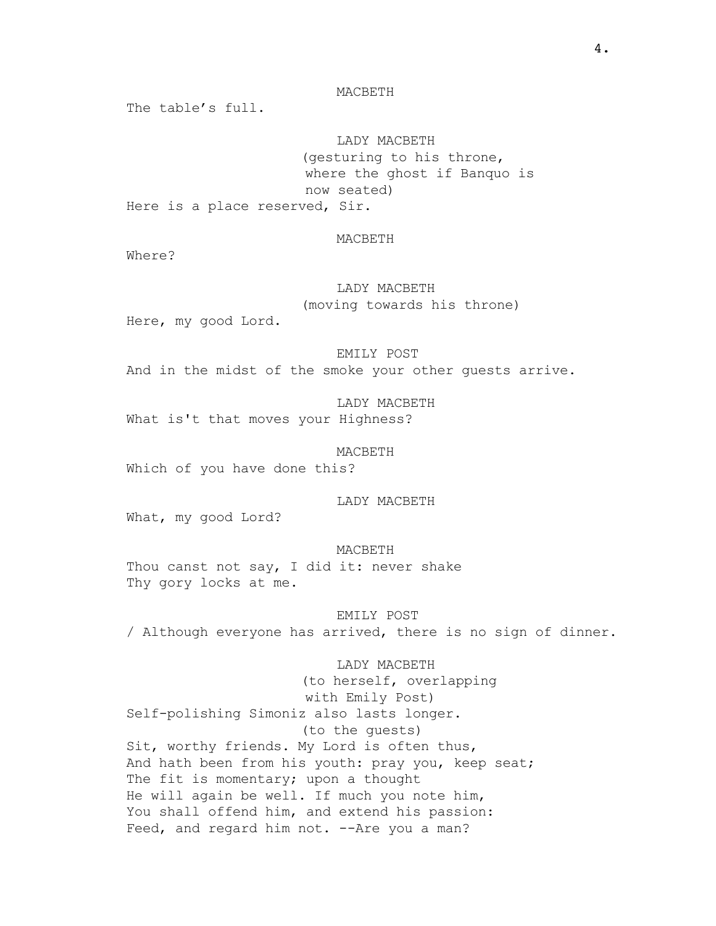The table's full.

LADY MACBETH (gesturing to his throne, where the ghost if Banquo is now seated)

Here is a place reserved, Sir.

## MACBETH

Where?

LADY MACBETH (moving towards his throne)

Here, my good Lord.

EMILY POST

And in the midst of the smoke your other guests arrive.

LADY MACBETH What is't that moves your Highness?

MACBETH

Which of you have done this?

LADY MACBETH

What, my good Lord?

MACBETH Thou canst not say, I did it: never shake Thy gory locks at me.

EMILY POST / Although everyone has arrived, there is no sign of dinner.

LADY MACBETH

(to herself, overlapping with Emily Post) Self-polishing Simoniz also lasts longer. (to the guests) Sit, worthy friends. My Lord is often thus, And hath been from his youth: pray you, keep seat; The fit is momentary; upon a thought He will again be well. If much you note him, You shall offend him, and extend his passion: Feed, and regard him not. --Are you a man?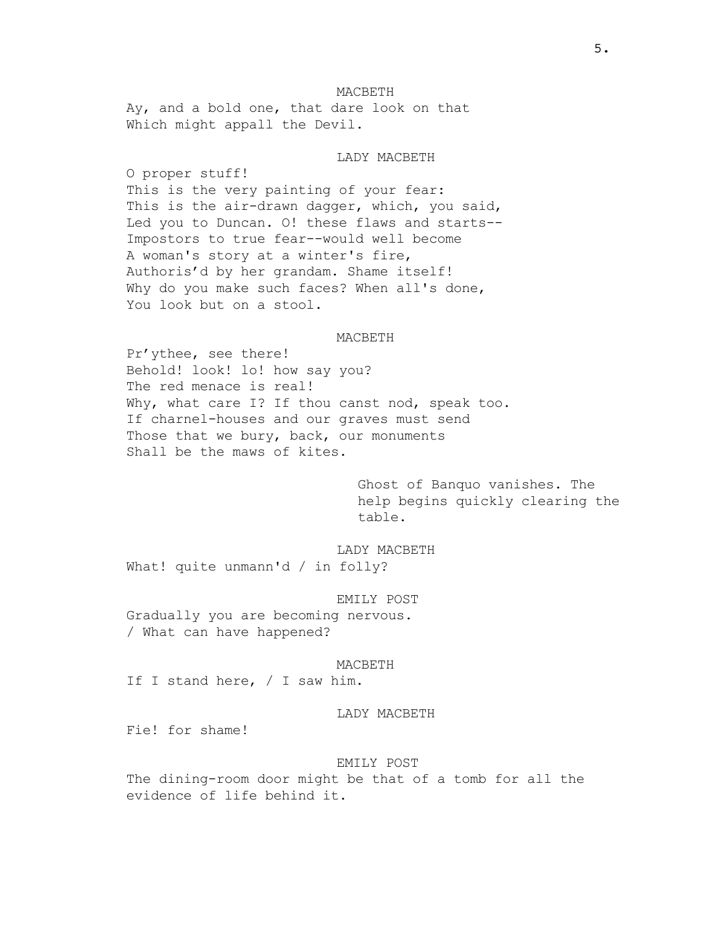MACBETH Ay, and a bold one, that dare look on that Which might appall the Devil.

#### LADY MACBETH

O proper stuff! This is the very painting of your fear: This is the air-drawn dagger, which, you said, Led you to Duncan. O! these flaws and starts-- Impostors to true fear--would well become A woman's story at a winter's fire, Authoris'd by her grandam. Shame itself! Why do you make such faces? When all's done, You look but on a stool.

#### **MACBETH**

Pr'ythee, see there! Behold! look! lo! how say you? The red menace is real! Why, what care I? If thou canst nod, speak too. If charnel-houses and our graves must send Those that we bury, back, our monuments Shall be the maws of kites.

> Ghost of Banquo vanishes. The help begins quickly clearing the table.

LADY MACBETH What! quite unmann'd / in folly?

### EMILY POST

Gradually you are becoming nervous. / What can have happened?

#### MACBETH

If I stand here, / I saw him.

### LADY MACBETH

Fie! for shame!

#### EMILY POST

The dining-room door might be that of a tomb for all the evidence of life behind it.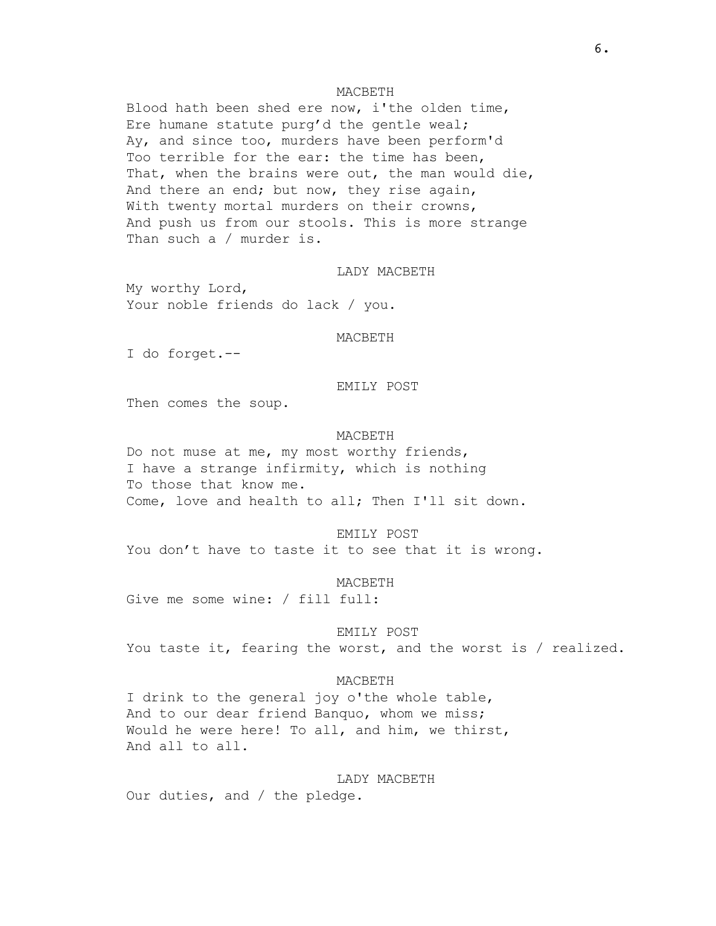Blood hath been shed ere now, i'the olden time, Ere humane statute purg'd the gentle weal; Ay, and since too, murders have been perform'd Too terrible for the ear: the time has been, That, when the brains were out, the man would die, And there an end; but now, they rise again, With twenty mortal murders on their crowns, And push us from our stools. This is more strange Than such a / murder is.

### LADY MACBETH

My worthy Lord, Your noble friends do lack / you.

#### MACBETH

I do forget.--

## EMILY POST

Then comes the soup.

#### MACBETH

Do not muse at me, my most worthy friends, I have a strange infirmity, which is nothing To those that know me. Come, love and health to all; Then I'll sit down.

### EMILY POST

You don't have to taste it to see that it is wrong.

#### MACBETH

Give me some wine: / fill full:

#### EMILY POST

You taste it, fearing the worst, and the worst is / realized.

## MACBETH

I drink to the general joy o'the whole table, And to our dear friend Banquo, whom we miss; Would he were here! To all, and him, we thirst, And all to all.

LADY MACBETH Our duties, and / the pledge.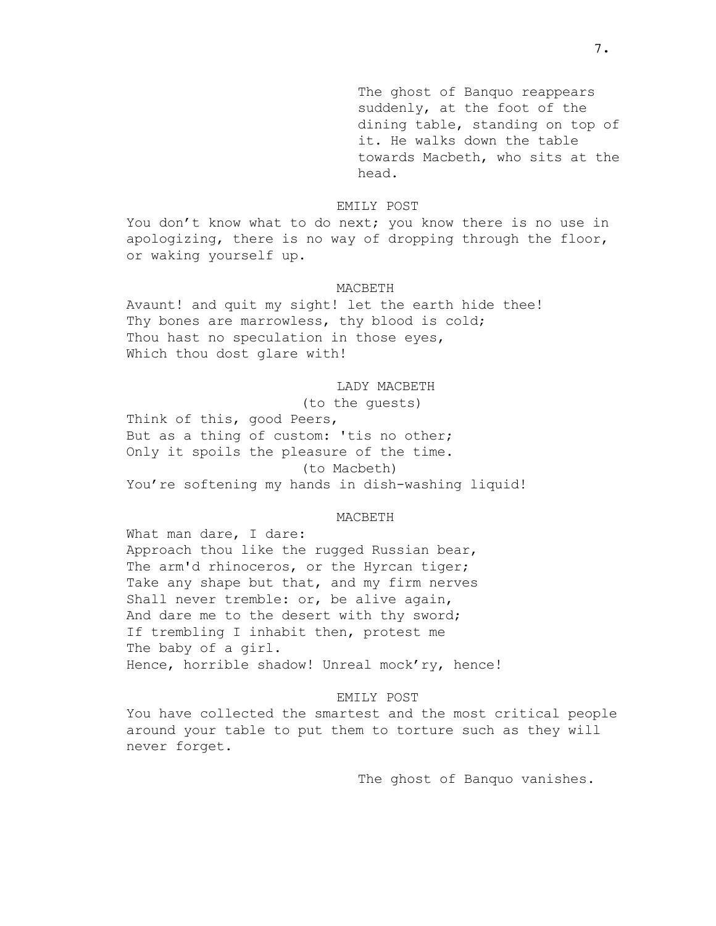The ghost of Banquo reappears suddenly, at the foot of the dining table, standing on top of it. He walks down the table towards Macbeth, who sits at the head.

# EMILY POST

You don't know what to do next; you know there is no use in apologizing, there is no way of dropping through the floor, or waking yourself up.

#### MACBETH

Avaunt! and quit my sight! let the earth hide thee! Thy bones are marrowless, thy blood is cold; Thou hast no speculation in those eyes, Which thou dost glare with!

### LADY MACBETH

(to the guests) Think of this, good Peers, But as a thing of custom: 'tis no other; Only it spoils the pleasure of the time. (to Macbeth) You're softening my hands in dish-washing liquid!

#### MACBETH

What man dare, I dare: Approach thou like the rugged Russian bear, The arm'd rhinoceros, or the Hyrcan tiger; Take any shape but that, and my firm nerves Shall never tremble: or, be alive again, And dare me to the desert with thy sword; If trembling I inhabit then, protest me The baby of a girl. Hence, horrible shadow! Unreal mock'ry, hence!

#### EMILY POST

You have collected the smartest and the most critical people around your table to put them to torture such as they will never forget.

The ghost of Banquo vanishes.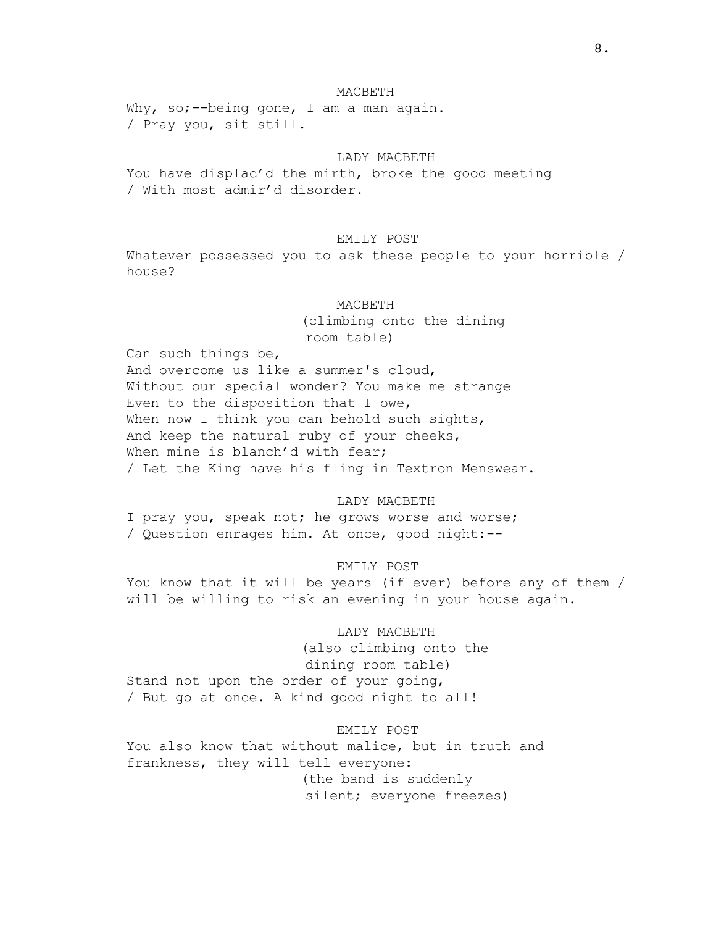Why, so;--being gone, I am a man again. / Pray you, sit still.

# LADY MACBETH

You have displac'd the mirth, broke the good meeting / With most admir'd disorder.

# EMILY POST

Whatever possessed you to ask these people to your horrible / house?

#### MACBETH

(climbing onto the dining room table)

Can such things be, And overcome us like a summer's cloud, Without our special wonder? You make me strange Even to the disposition that I owe, When now I think you can behold such sights, And keep the natural ruby of your cheeks, When mine is blanch'd with fear; / Let the King have his fling in Textron Menswear.

# LADY MACBETH

I pray you, speak not; he grows worse and worse; / Question enrages him. At once, good night:--

# EMILY POST

You know that it will be years (if ever) before any of them / will be willing to risk an evening in your house again.

### LADY MACBETH

(also climbing onto the dining room table) Stand not upon the order of your going, / But go at once. A kind good night to all!

# EMILY POST

You also know that without malice, but in truth and frankness, they will tell everyone: (the band is suddenly silent; everyone freezes)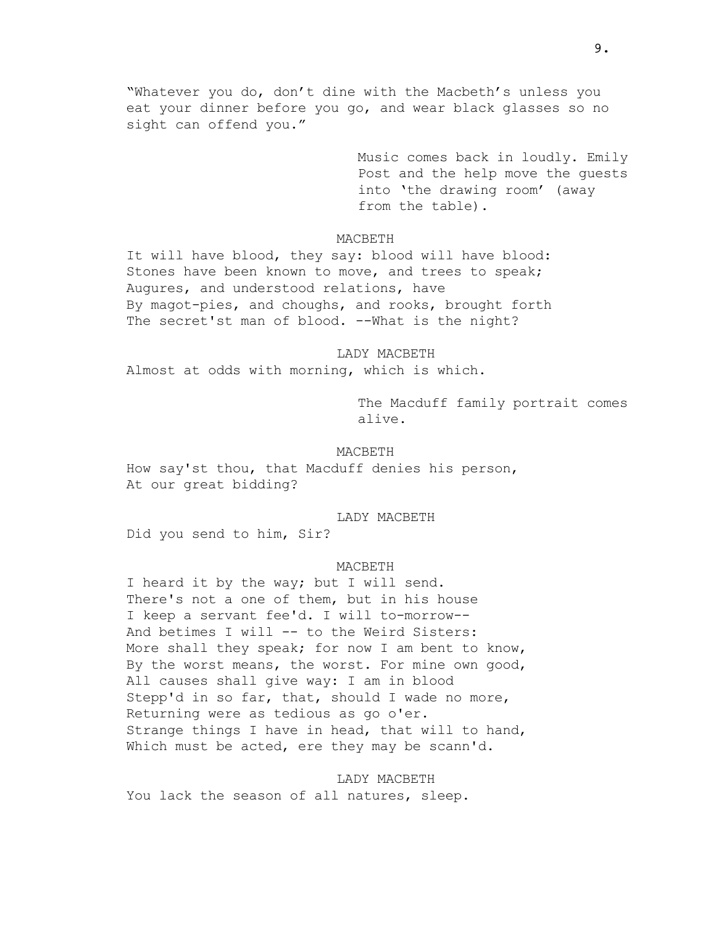"Whatever you do, don't dine with the Macbeth's unless you eat your dinner before you go, and wear black glasses so no sight can offend you."

> Music comes back in loudly. Emily Post and the help move the guests into 'the drawing room' (away from the table).

MACBETH

It will have blood, they say: blood will have blood: Stones have been known to move, and trees to speak; Augures, and understood relations, have By magot-pies, and choughs, and rooks, brought forth The secret'st man of blood. --What is the night?

LADY MACBETH Almost at odds with morning, which is which.

> The Macduff family portrait comes alive.

#### MACBETH

How say'st thou, that Macduff denies his person, At our great bidding?

#### LADY MACBETH

Did you send to him, Sir?

### MACBETH

I heard it by the way; but I will send. There's not a one of them, but in his house I keep a servant fee'd. I will to-morrow-- And betimes I will -- to the Weird Sisters: More shall they speak; for now I am bent to know, By the worst means, the worst. For mine own good, All causes shall give way: I am in blood Stepp'd in so far, that, should I wade no more, Returning were as tedious as go o'er. Strange things I have in head, that will to hand, Which must be acted, ere they may be scann'd.

LADY MACBETH You lack the season of all natures, sleep.